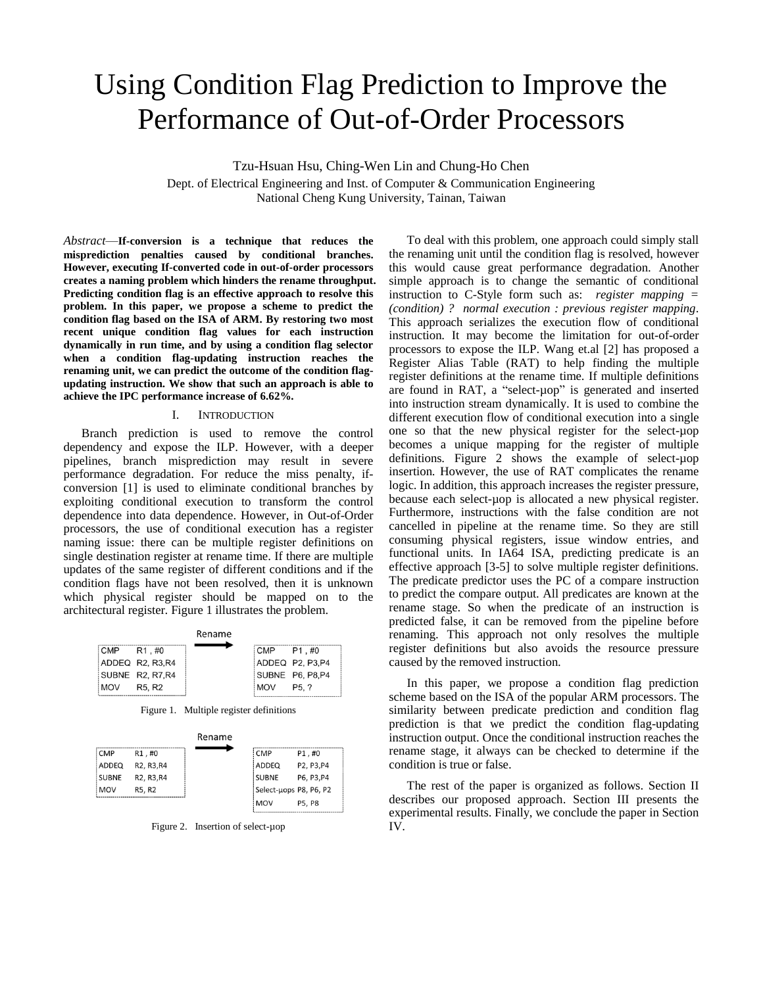# Using Condition Flag Prediction to Improve the Performance of Out-of-Order Processors

Tzu-Hsuan Hsu, Ching-Wen Lin and Chung-Ho Chen

Dept. of Electrical Engineering and Inst. of Computer & Communication Engineering National Cheng Kung University, Tainan, Taiwan

*Abstract*—**If-conversion is a technique that reduces the misprediction penalties caused by conditional branches. However, executing If-converted code in out-of-order processors creates a naming problem which hinders the rename throughput. Predicting condition flag is an effective approach to resolve this problem. In this paper, we propose a scheme to predict the condition flag based on the ISA of ARM. By restoring two most recent unique condition flag values for each instruction dynamically in run time, and by using a condition flag selector when a condition flag-updating instruction reaches the renaming unit, we can predict the outcome of the condition flagupdating instruction. We show that such an approach is able to achieve the IPC performance increase of 6.62%.**

## I. INTRODUCTION

Branch prediction is used to remove the control dependency and expose the ILP. However, with a deeper pipelines, branch misprediction may result in severe performance degradation. For reduce the miss penalty, ifconversion [1] is used to eliminate conditional branches by exploiting conditional execution to transform the control dependence into data dependence. However, in Out-of-Order processors, the use of conditional execution has a register naming issue: there can be multiple register definitions on single destination register at rename time. If there are multiple updates of the same register of different conditions and if the condition flags have not been resolved, then it is unknown which physical register should be mapped on to the architectural register. Figure 1 illustrates the problem.

|                                         | Rename |                 |                  |
|-----------------------------------------|--------|-----------------|------------------|
| CMP R1.#0                               |        | $ICMP$ $P1. #0$ |                  |
| ADDEQ R2, R3, R4                        |        |                 | ADDEQ P2, P3, P4 |
| SUBNE R2, R7, R4                        |        |                 | SUBNE P6, P8, P4 |
| MOV:<br>R <sub>5</sub> . R <sub>2</sub> |        | MOV:            | P5. ?            |

Figure 1. Multiple register definitions

|              |                                                  | Rename |                        |            |  |
|--------------|--------------------------------------------------|--------|------------------------|------------|--|
| <b>CMP</b>   | R1,#0                                            |        | : CMP                  | P1,#0      |  |
| ADDEQ        | R <sub>2</sub> , R <sub>3</sub> , R <sub>4</sub> |        | ADDEQ                  | P2, P3, P4 |  |
| <b>SUBNE</b> | R <sub>2</sub> , R <sub>3</sub> , R <sub>4</sub> |        | SUBNE                  | P6, P3, P4 |  |
| <b>MOV</b>   | R5, R2                                           |        | Select-uops P8, P6, P2 |            |  |
|              |                                                  |        | <b>MOV</b>             | P5. P8     |  |

Figure 2. Insertion of select-µop

To deal with this problem, one approach could simply stall the renaming unit until the condition flag is resolved, however this would cause great performance degradation. Another simple approach is to change the semantic of conditional instruction to C-Style form such as: *register mapping = (condition) ? normal execution : previous register mapping*. This approach serializes the execution flow of conditional instruction. It may become the limitation for out-of-order processors to expose the ILP. Wang et.al [2] has proposed a Register Alias Table (RAT) to help finding the multiple register definitions at the rename time. If multiple definitions are found in RAT, a "select-µop" is generated and inserted into instruction stream dynamically. It is used to combine the different execution flow of conditional execution into a single one so that the new physical register for the select-µop becomes a unique mapping for the register of multiple definitions. Figure 2 shows the example of select-µop insertion. However, the use of RAT complicates the rename logic. In addition, this approach increases the register pressure, because each select-µop is allocated a new physical register. Furthermore, instructions with the false condition are not cancelled in pipeline at the rename time. So they are still consuming physical registers, issue window entries, and functional units. In IA64 ISA, predicting predicate is an effective approach [3-5] to solve multiple register definitions. The predicate predictor uses the PC of a compare instruction to predict the compare output. All predicates are known at the rename stage. So when the predicate of an instruction is predicted false, it can be removed from the pipeline before renaming. This approach not only resolves the multiple register definitions but also avoids the resource pressure caused by the removed instruction.

In this paper, we propose a condition flag prediction scheme based on the ISA of the popular ARM processors. The similarity between predicate prediction and condition flag prediction is that we predict the condition flag-updating instruction output. Once the conditional instruction reaches the rename stage, it always can be checked to determine if the condition is true or false.

The rest of the paper is organized as follows. Section II describes our proposed approach. Section III presents the experimental results. Finally, we conclude the paper in Section IV.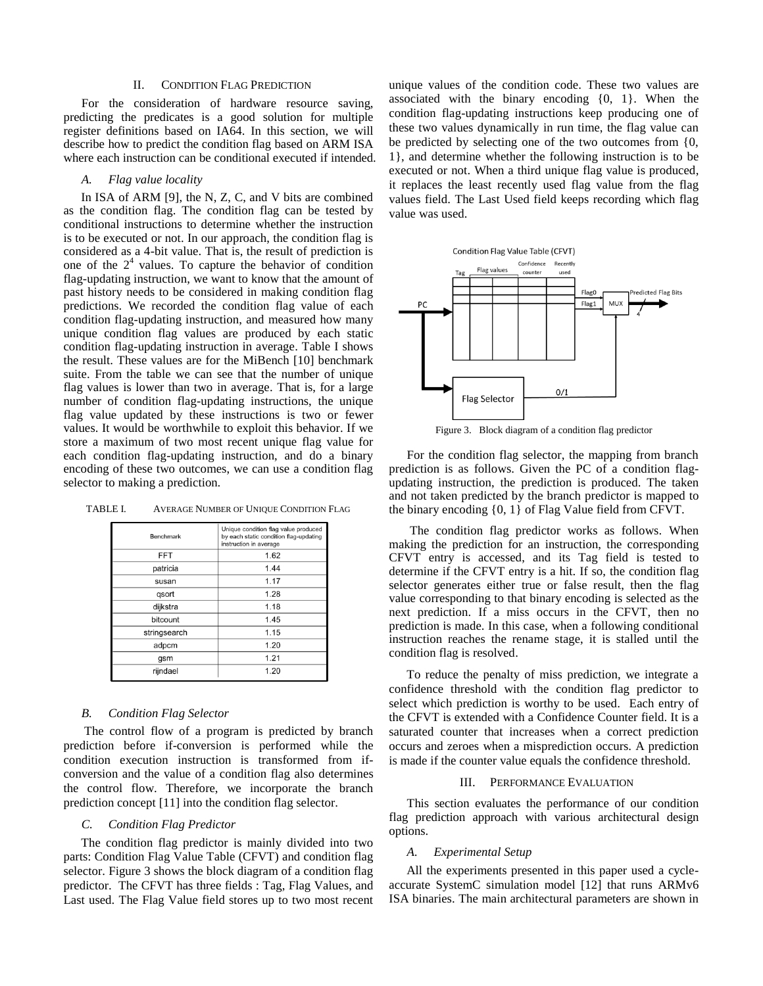### II. CONDITION FLAG PREDICTION

For the consideration of hardware resource saving, predicting the predicates is a good solution for multiple register definitions based on IA64. In this section, we will describe how to predict the condition flag based on ARM ISA where each instruction can be conditional executed if intended.

# *A. Flag value locality*

In ISA of ARM [9], the N, Z, C, and V bits are combined as the condition flag. The condition flag can be tested by conditional instructions to determine whether the instruction is to be executed or not. In our approach, the condition flag is considered as a 4-bit value. That is, the result of prediction is one of the  $2<sup>4</sup>$  values. To capture the behavior of condition flag-updating instruction, we want to know that the amount of past history needs to be considered in making condition flag predictions. We recorded the condition flag value of each condition flag-updating instruction, and measured how many unique condition flag values are produced by each static condition flag-updating instruction in average. Table I shows the result. These values are for the MiBench [10] benchmark suite. From the table we can see that the number of unique flag values is lower than two in average. That is, for a large number of condition flag-updating instructions, the unique flag value updated by these instructions is two or fewer values. It would be worthwhile to exploit this behavior. If we store a maximum of two most recent unique flag value for each condition flag-updating instruction, and do a binary encoding of these two outcomes, we can use a condition flag selector to making a prediction.

| TABLE I. | AVERAGE NUMBER OF UNIQUE CONDITION FLAG |
|----------|-----------------------------------------|
|----------|-----------------------------------------|

| Benchmark    | Unique condition flag value produced<br>by each static condition flag-updating<br>instruction in average |
|--------------|----------------------------------------------------------------------------------------------------------|
| <b>FFT</b>   | 1.62                                                                                                     |
| patricia     | 1.44                                                                                                     |
| susan        | 1.17                                                                                                     |
| gsort        | 1.28                                                                                                     |
| dijkstra     | 1.18                                                                                                     |
| bitcount     | 1.45                                                                                                     |
| stringsearch | 1.15                                                                                                     |
| adpcm        | 1.20                                                                                                     |
| gsm          | 1.21                                                                                                     |
| rijndael     | 1.20                                                                                                     |

#### *B. Condition Flag Selector*

The control flow of a program is predicted by branch prediction before if-conversion is performed while the condition execution instruction is transformed from ifconversion and the value of a condition flag also determines the control flow. Therefore, we incorporate the branch prediction concept [11] into the condition flag selector.

# *C. Condition Flag Predictor*

The condition flag predictor is mainly divided into two parts: Condition Flag Value Table (CFVT) and condition flag selector. Figure 3 shows the block diagram of a condition flag predictor. The CFVT has three fields : Tag, Flag Values, and Last used. The Flag Value field stores up to two most recent unique values of the condition code. These two values are associated with the binary encoding {0, 1}. When the condition flag-updating instructions keep producing one of these two values dynamically in run time, the flag value can be predicted by selecting one of the two outcomes from {0, 1}, and determine whether the following instruction is to be executed or not. When a third unique flag value is produced, it replaces the least recently used flag value from the flag values field. The Last Used field keeps recording which flag value was used.



Figure 3. Block diagram of a condition flag predictor

For the condition flag selector, the mapping from branch prediction is as follows. Given the PC of a condition flagupdating instruction, the prediction is produced. The taken and not taken predicted by the branch predictor is mapped to the binary encoding {0, 1} of Flag Value field from CFVT.

The condition flag predictor works as follows. When making the prediction for an instruction, the corresponding CFVT entry is accessed, and its Tag field is tested to determine if the CFVT entry is a hit. If so, the condition flag selector generates either true or false result, then the flag value corresponding to that binary encoding is selected as the next prediction. If a miss occurs in the CFVT, then no prediction is made. In this case, when a following conditional instruction reaches the rename stage, it is stalled until the condition flag is resolved.

To reduce the penalty of miss prediction, we integrate a confidence threshold with the condition flag predictor to select which prediction is worthy to be used. Each entry of the CFVT is extended with a Confidence Counter field. It is a saturated counter that increases when a correct prediction occurs and zeroes when a misprediction occurs. A prediction is made if the counter value equals the confidence threshold.

# III. PERFORMANCE EVALUATION

This section evaluates the performance of our condition flag prediction approach with various architectural design options.

# *A. Experimental Setup*

All the experiments presented in this paper used a cycleaccurate SystemC simulation model [12] that runs ARMv6 ISA binaries. The main architectural parameters are shown in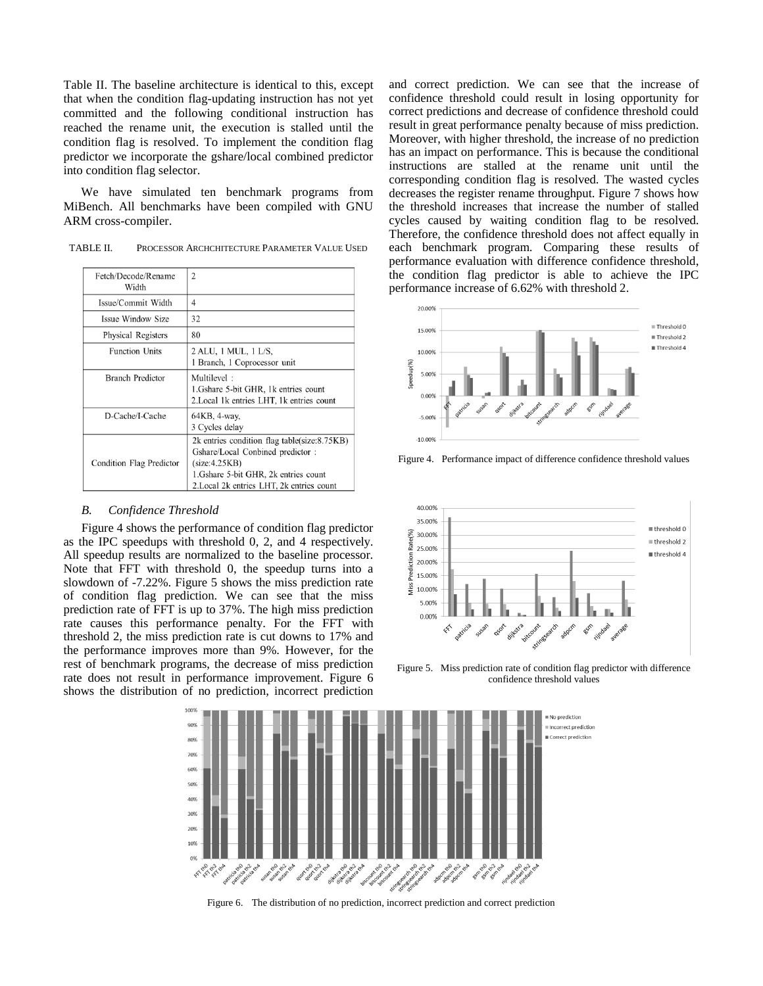Table II. The baseline architecture is identical to this, except that when the condition flag-updating instruction has not yet committed and the following conditional instruction has reached the rename unit, the execution is stalled until the condition flag is resolved. To implement the condition flag predictor we incorporate the gshare/local combined predictor into condition flag selector.

We have simulated ten benchmark programs from MiBench. All benchmarks have been compiled with GNU ARM cross-compiler.

TABLE II. PROCESSOR ARCHCHITECTURE PARAMETER VALUE USED

| Fetch/Decode/Rename<br>Width | $\overline{2}$                                                                                                                                                                          |  |
|------------------------------|-----------------------------------------------------------------------------------------------------------------------------------------------------------------------------------------|--|
| Issue/Commit Width           | 4                                                                                                                                                                                       |  |
| Issue Window Size            | 32                                                                                                                                                                                      |  |
| Physical Registers           | 80                                                                                                                                                                                      |  |
| <b>Function Units</b>        | 2 ALU, 1 MUL, 1 L/S,<br>1 Branch, 1 Coprocessor unit                                                                                                                                    |  |
| <b>Branch Predictor</b>      | Multilevel:<br>1. Gshare 5-bit GHR, 1k entries count<br>2. Local 1k entries LHT, 1k entries count                                                                                       |  |
| D-Cache/I-Cache              | 64KB, 4-way,<br>3 Cycles delay                                                                                                                                                          |  |
| Condition Flag Predictor     | 2k entries condition flag table(size:8.75KB)<br>Gshare/Local Conbined predictor:<br>(size:4.25KB)<br>1. Gshare 5-bit GHR, 2k entries count<br>2. Local 2k entries LHT, 2k entries count |  |

# *B. Confidence Threshold*

Figure 4 shows the performance of condition flag predictor as the IPC speedups with threshold 0, 2, and 4 respectively. All speedup results are normalized to the baseline processor. Note that FFT with threshold 0, the speedup turns into a slowdown of -7.22%. Figure 5 shows the miss prediction rate of condition flag prediction. We can see that the miss prediction rate of FFT is up to 37%. The high miss prediction rate causes this performance penalty. For the FFT with threshold 2, the miss prediction rate is cut downs to 17% and the performance improves more than 9%. However, for the rest of benchmark programs, the decrease of miss prediction rate does not result in performance improvement. Figure 6 shows the distribution of no prediction, incorrect prediction and correct prediction. We can see that the increase of confidence threshold could result in losing opportunity for correct predictions and decrease of confidence threshold could result in great performance penalty because of miss prediction. Moreover, with higher threshold, the increase of no prediction has an impact on performance. This is because the conditional instructions are stalled at the rename unit until the corresponding condition flag is resolved. The wasted cycles decreases the register rename throughput. Figure 7 shows how the threshold increases that increase the number of stalled cycles caused by waiting condition flag to be resolved. Therefore, the confidence threshold does not affect equally in each benchmark program. Comparing these results of performance evaluation with difference confidence threshold, the condition flag predictor is able to achieve the IPC performance increase of 6.62% with threshold 2.



Figure 4. Performance impact of difference confidence threshold values



Figure 5. Miss prediction rate of condition flag predictor with difference confidence threshold values



Figure 6. The distribution of no prediction, incorrect prediction and correct prediction